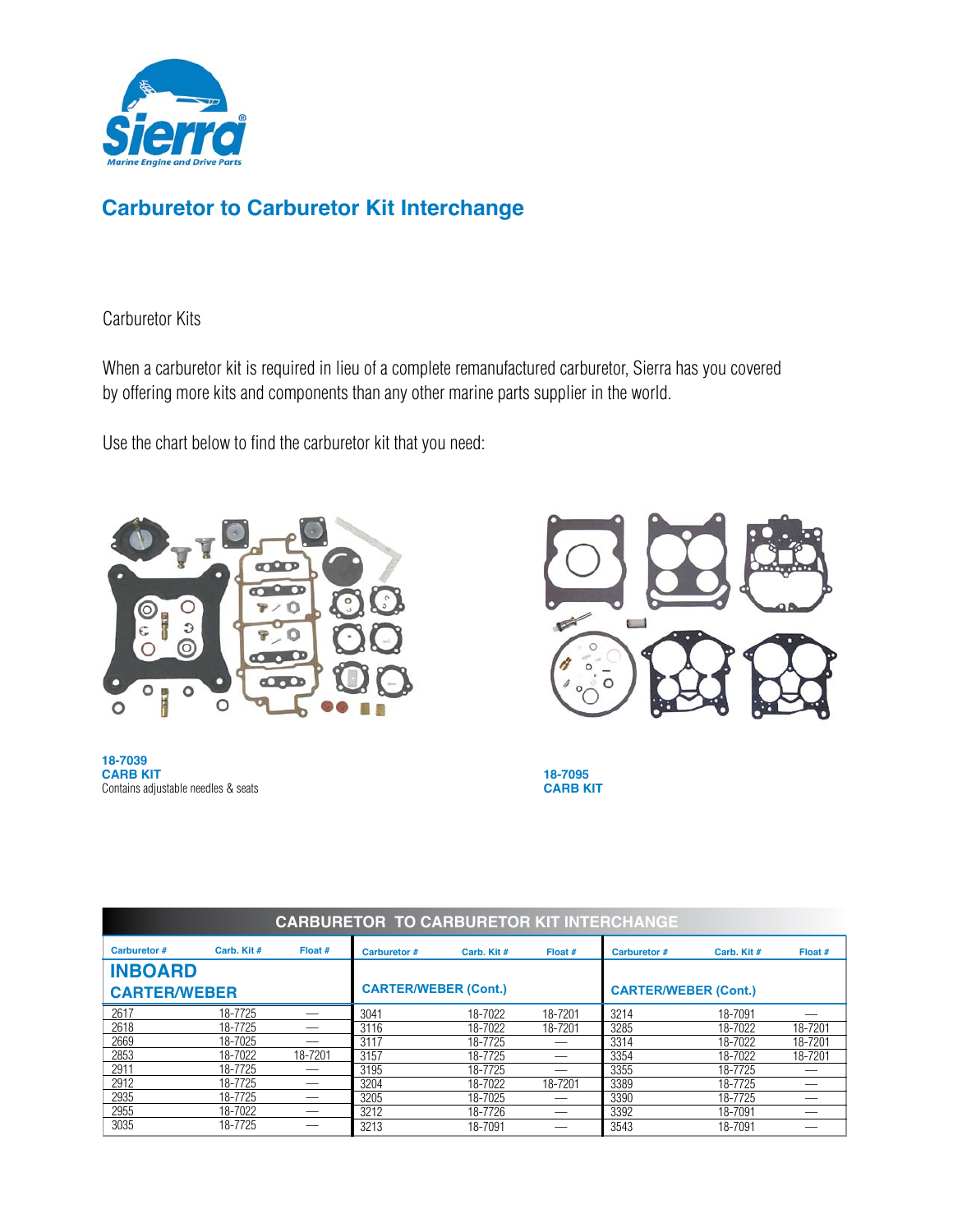

### **Carburetor to Carburetor Kit Interchange**

#### Carburetor Kits

When a carburetor kit is required in lieu of a complete remanufactured carburetor, Sierra has you covered by offering more kits and components than any other marine parts supplier in the world.

Use the chart below to find the carburetor kit that you need:







**18-7095 CARB KIT**

| <b>CARBURETOR TO CARBURETOR KIT INTERCHANGE</b> |             |           |                             |             |         |                             |             |         |  |  |
|-------------------------------------------------|-------------|-----------|-----------------------------|-------------|---------|-----------------------------|-------------|---------|--|--|
| <b>Carburetor #</b>                             | Carb. Kit # | Float $#$ | <b>Carburetor #</b>         | Carb. Kit # | Float # | <b>Carburetor #</b>         | Carb. Kit # | Float # |  |  |
| <b>INBOARD</b>                                  |             |           |                             |             |         |                             |             |         |  |  |
| <b>CARTER/WEBER</b>                             |             |           | <b>CARTER/WEBER (Cont.)</b> |             |         | <b>CARTER/WEBER (Cont.)</b> |             |         |  |  |
| 2617                                            | 18-7725     |           | 3041                        | 18-7022     | 18-7201 | 3214                        | 18-7091     |         |  |  |
| 2618                                            | 18-7725     |           | 3116                        | 18-7022     | 18-7201 | 3285                        | 18-7022     | 18-7201 |  |  |
| 2669                                            | 18-7025     |           | 3117                        | 18-7725     |         | 3314                        | 18-7022     | 18-7201 |  |  |
| 2853                                            | 18-7022     | 18-7201   | 3157                        | 18-7725     |         | 3354                        | 18-7022     | 18-7201 |  |  |
| 2911                                            | 18-7725     |           | 3195                        | 18-7725     |         | 3355                        | 18-7725     |         |  |  |
| 2912                                            | 18-7725     |           | 3204                        | 18-7022     | 18-7201 | 3389                        | 18-7725     |         |  |  |
| 2935                                            | 18-7725     |           | 3205                        | 18-7025     |         | 3390                        | 18-7725     |         |  |  |
| 2955                                            | 18-7022     |           | 3212                        | 18-7726     | —       | 3392                        | 18-7091     |         |  |  |
| 3035                                            | 18-7725     |           | 3213                        | 18-7091     |         | 3543                        | 18-7091     |         |  |  |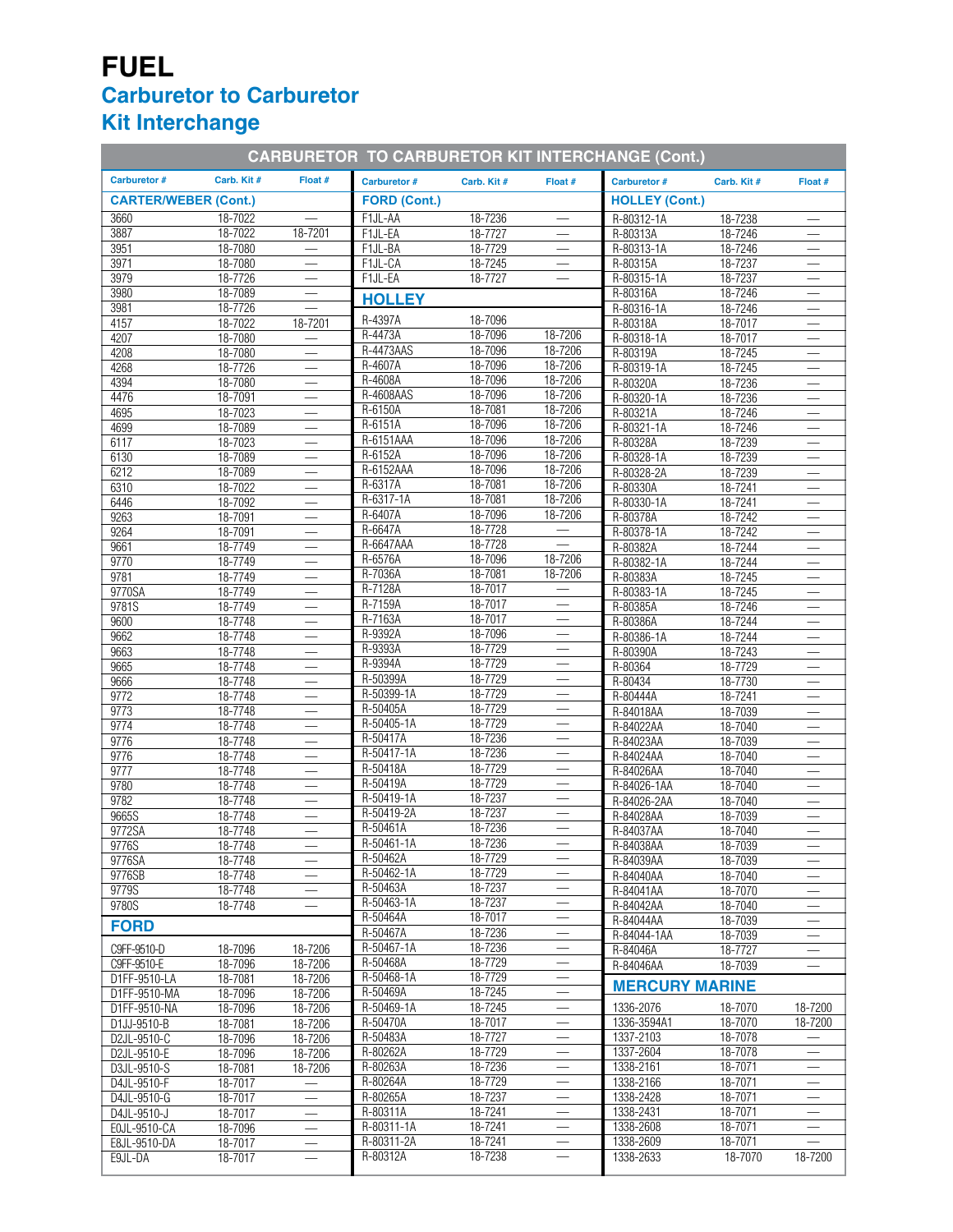# **FUEL Carburetor to Carburetor Kit Interchange**

| <b>CARBURETOR TO CARBURETOR KIT INTERCHANGE (Cont.)</b> |                    |                                |                        |                    |                          |                            |                    |                                 |
|---------------------------------------------------------|--------------------|--------------------------------|------------------------|--------------------|--------------------------|----------------------------|--------------------|---------------------------------|
| <b>Carburetor #</b>                                     | Carb. Kit #        | Float #                        | Carburetor #           | Carb. Kit #        | Float #                  | Carburetor #               | Carb. Kit#         | Float #                         |
| <b>CARTER/WEBER (Cont.)</b>                             |                    |                                | <b>FORD (Cont.)</b>    |                    |                          | <b>HOLLEY (Cont.)</b>      |                    |                                 |
| 3660                                                    | 18-7022            |                                | F1JL-AA                | 18-7236            |                          | R-80312-1A                 | 18-7238            |                                 |
| 3887                                                    | 18-7022            | 18-7201                        | F1JL-EA                | 18-7727            |                          | R-80313A                   | 18-7246            | $\overline{\phantom{m}}$        |
| 3951<br>3971                                            | 18-7080<br>18-7080 | $\equiv$                       | F1JL-BA<br>F1JL-CA     | 18-7729<br>18-7245 |                          | R-80313-1A<br>R-80315A     | 18-7246<br>18-7237 | $\overline{\phantom{m}}$        |
| 3979                                                    | 18-7726            | $\overline{\phantom{m}}$       | F1JL-EA                | 18-7727            |                          | R-80315-1A                 | 18-7237            |                                 |
| 3980                                                    | 18-7089            |                                | <b>HOLLEY</b>          |                    |                          | R-80316A                   | 18-7246            |                                 |
| 3981                                                    | 18-7726            |                                |                        |                    |                          | R-80316-1A                 | 18-7246            | $\overline{\phantom{m}}$        |
| 4157                                                    | 18-7022            | 18-7201                        | R-4397A                | 18-7096            |                          | R-80318A                   | 18-7017            |                                 |
| 4207                                                    | 18-7080            | $\equiv$                       | $R-4473A$<br>R-4473AAS | 18-7096<br>18-7096 | 18-7206<br>18-7206       | R-80318-1A                 | 18-7017            |                                 |
| 4208                                                    | 18-7080            |                                | R-4607A                | 18-7096            | 18-7206                  | R-80319A                   | 18-7245            |                                 |
| 4268<br>4394                                            | 18-7726<br>18-7080 | $\overline{\phantom{m}}$       | R-4608A                | 18-7096            | 18-7206                  | R-80319-1A<br>R-80320A     | 18-7245<br>18-7236 | $\overline{\phantom{m}}$        |
| 4476                                                    | 18-7091            | $\overline{\phantom{0}}$       | R-4608AAS              | 18-7096            | 18-7206                  | R-80320-1A                 | 18-7236            |                                 |
| 4695                                                    | 18-7023            | $\overline{\phantom{0}}$       | R-6150A                | 18-7081            | 18-7206                  | R-80321A                   | 18-7246            |                                 |
| 4699                                                    | 18-7089            | $\qquad \qquad \longleftarrow$ | R-6151A                | 18-7096            | 18-7206                  | R-80321-1A                 | 18-7246            |                                 |
| 6117                                                    | 18-7023            |                                | R-6151AAA              | 18-7096            | 18-7206                  | R-80328A                   | 18-7239            |                                 |
| 6130                                                    | 18-7089            | $\overline{\phantom{m}}$       | R-6152A                | 18-7096            | 18-7206                  | R-80328-1A                 | 18-7239            | $\overline{\phantom{m}}$        |
| 6212                                                    | 18-7089            | $\overline{\phantom{0}}$       | R-6152AAA              | 18-7096            | 18-7206                  | R-80328-2A                 | 18-7239            |                                 |
| 6310                                                    | 18-7022            | $\qquad \qquad$                | R-6317A<br>R-6317-1A   | 18-7081<br>18-7081 | 18-7206<br>18-7206       | R-80330A                   | 18-7241            |                                 |
| 6446<br>9263                                            | 18-7092<br>18-7091 |                                | R-6407A                | 18-7096            | 18-7206                  | R-80330-1A<br>R-80378A     | 18-7241<br>18-7242 |                                 |
| 9264                                                    | 18-7091            |                                | R-6647A                | 18-7728            |                          | R-80378-1A                 | 18-7242            | $\overline{\phantom{m}}$        |
| 9661                                                    | 18-7749            | $\overline{\phantom{0}}$       | R-6647AAA              | 18-7728            |                          | R-80382A                   | 18-7244            |                                 |
| 9770                                                    | 18-7749            | $\qquad \qquad$                | R-6576A                | 18-7096            | 18-7206                  | R-80382-1A                 | 18-7244            |                                 |
| 9781                                                    | 18-7749            | $\overline{\phantom{m}}$       | R-7036A                | 18-7081            | 18-7206                  | R-80383A                   | 18-7245            |                                 |
| 9770SA                                                  | 18-7749            |                                | R-7128A                | 18-7017            | $\overline{\phantom{0}}$ | R-80383-1A                 | 18-7245            |                                 |
| 9781S                                                   | 18-7749            |                                | R-7159A                | 18-7017            |                          | R-80385A                   | 18-7246            | $\overline{\phantom{m}}$        |
| 9600                                                    | 18-7748            | $\overline{\phantom{0}}$       | R-7163A                | 18-7017            |                          | R-80386A                   | 18-7244            |                                 |
| 9662                                                    | 18-7748            | $\qquad \qquad$                | R-9392A<br>R-9393A     | 18-7096<br>18-7729 |                          | R-80386-1A                 | 18-7244            |                                 |
| 9663<br>9665                                            | 18-7748<br>18-7748 |                                | R-9394A                | 18-7729            |                          | R-80390A<br>R-80364        | 18-7243<br>18-7729 |                                 |
| 9666                                                    | 18-7748            |                                | R-50399A               | 18-7729            | $\overline{\phantom{0}}$ | R-80434                    | 18-7730            | $\overline{\phantom{m}}$        |
| 9772                                                    | 18-7748            | $\overline{\phantom{0}}$       | R-50399-1A             | 18-7729            |                          | R-80444A                   | 18-7241            |                                 |
| 9773                                                    | 18-7748            | $\qquad \qquad$                | R-50405A               | 18-7729            |                          | R-84018AA                  | 18-7039            |                                 |
| 9774                                                    | 18-7748            | $\overline{\phantom{m}}$       | R-50405-1A             | 18-7729            |                          | R-84022AA                  | 18-7040            |                                 |
| 9776                                                    | 18-7748            |                                | R-50417A               | 18-7236            |                          | R-84023AA                  | 18-7039            |                                 |
| 9776                                                    | 18-7748            |                                | R-50417-1A             | 18-7236            | $\qquad \qquad -$        | R-84024AA                  | 18-7040            | $\overline{\phantom{m}}$        |
| 9777                                                    | 18-7748            |                                | R-50418A<br>R-50419A   | 18-7729<br>18-7729 |                          | R-84026AA                  | 18-7040            |                                 |
| 9780<br>9782                                            | 18-7748<br>18-7748 | $\qquad \qquad$                | R-50419-1A             | 18-7237            |                          | R-84026-1AA<br>R-84026-2AA | 18-7040<br>18-7040 |                                 |
| 9665S                                                   | 18-7748            | $\overline{\phantom{m}}$       | R-50419-2A             | 18-7237            | $\qquad \qquad$          | R-84028AA                  | 18-7039            | $\overline{\phantom{0}}$        |
| 9772SA                                                  | 18-7748            | $\frac{1}{2}$                  | R-50461A               | 18-7236            | $\overline{\phantom{m}}$ | R-84037AA                  | 18-7040            | $\overline{\phantom{m}}$        |
| 9776S                                                   | 18-7748            |                                | R-50461-1A             | 18-7236            |                          | R-84038AA                  | 18-7039            |                                 |
| 9776SA                                                  | 18-7748            | $\overline{\phantom{0}}$       | R-50462A               | 18-7729            | $\overline{\phantom{m}}$ | R-84039AA                  | 18-7039            |                                 |
| 9776SB                                                  | 18-7748            | $\overline{\phantom{m}}$       | R-50462-1A             | 18-7729            |                          | R-84040AA                  | 18-7040            | $\qquad \qquad \longleftarrow$  |
| 9779S                                                   | 18-7748            |                                | R-50463A               | 18-7237            |                          | R-84041AA                  | 18-7070            |                                 |
| 9780S                                                   | 18-7748            |                                | R-50463-1A<br>R-50464A | 18-7237<br>18-7017 |                          | R-84042AA                  | 18-7040            | $\overline{\phantom{m}}$        |
| <b>FORD</b>                                             |                    |                                | R-50467A               | 18-7236            |                          | R-84044AA                  | 18-7039            | $\qquad \qquad \longleftarrow$  |
| C9FF-9510-D                                             | 18-7096            | 18-7206                        | R-50467-1A             | 18-7236            |                          | R-84044-1AA<br>R-84046A    | 18-7039<br>18-7727 |                                 |
| C9FF-9510-E                                             | 18-7096            | 18-7206                        | R-50468A               | 18-7729            |                          | R-84046AA                  | 18-7039            | $\overline{\phantom{0}}$        |
| D1FF-9510-LA                                            | 18-7081            | 18-7206                        | R-50468-1A             | 18-7729            |                          |                            |                    |                                 |
| D1FF-9510-MA                                            | 18-7096            | 18-7206                        | R-50469A               | 18-7245            |                          | <b>MERCURY MARINE</b>      |                    |                                 |
| D1FF-9510-NA                                            | 18-7096            | 18-7206                        | R-50469-1A             | 18-7245            | $\overline{\phantom{0}}$ | 1336-2076                  | 18-7070            | 18-7200                         |
| D1JJ-9510-B                                             | 18-7081            | 18-7206                        | R-50470A               | 18-7017            |                          | 1336-3594A1                | 18-7070            | 18-7200                         |
| D2JL-9510-C                                             | 18-7096            | 18-7206                        | R-50483A<br>R-80262A   | 18-7727<br>18-7729 | $\overline{\phantom{0}}$ | 1337-2103                  | 18-7078<br>18-7078 | $\overline{\phantom{m}}$        |
| D2JL-9510-E<br>D3JL-9510-S                              | 18-7096<br>18-7081 | 18-7206<br>18-7206             | R-80263A               | 18-7236            |                          | 1337-2604<br>1338-2161     | 18-7071            |                                 |
| D4JL-9510-F                                             | 18-7017            | $\overline{\phantom{m}}$       | R-80264A               | 18-7729            |                          | 1338-2166                  | 18-7071            |                                 |
| D4JL-9510-G                                             | 18-7017            | $\qquad \qquad \longleftarrow$ | R-80265A               | 18-7237            |                          | 1338-2428                  | 18-7071            | $\hspace{0.1mm}-\hspace{0.1mm}$ |
| D4JL-9510-J                                             | 18-7017            |                                | R-80311A               | 18-7241            | $\overline{\phantom{0}}$ | 1338-2431                  | 18-7071            | $\overline{\phantom{0}}$        |
| E0JL-9510-CA                                            | 18-7096            | $\qquad \qquad \longleftarrow$ | R-80311-1A             | 18-7241            |                          | 1338-2608                  | 18-7071            |                                 |
| E8JL-9510-DA                                            | 18-7017            |                                | R-80311-2A             | 18-7241            |                          | 1338-2609                  | 18-7071            |                                 |
| E9JL-DA                                                 | 18-7017            |                                | R-80312A               | 18-7238            | $\frac{1}{1}$            | 1338-2633                  | 18-7070            | 18-7200                         |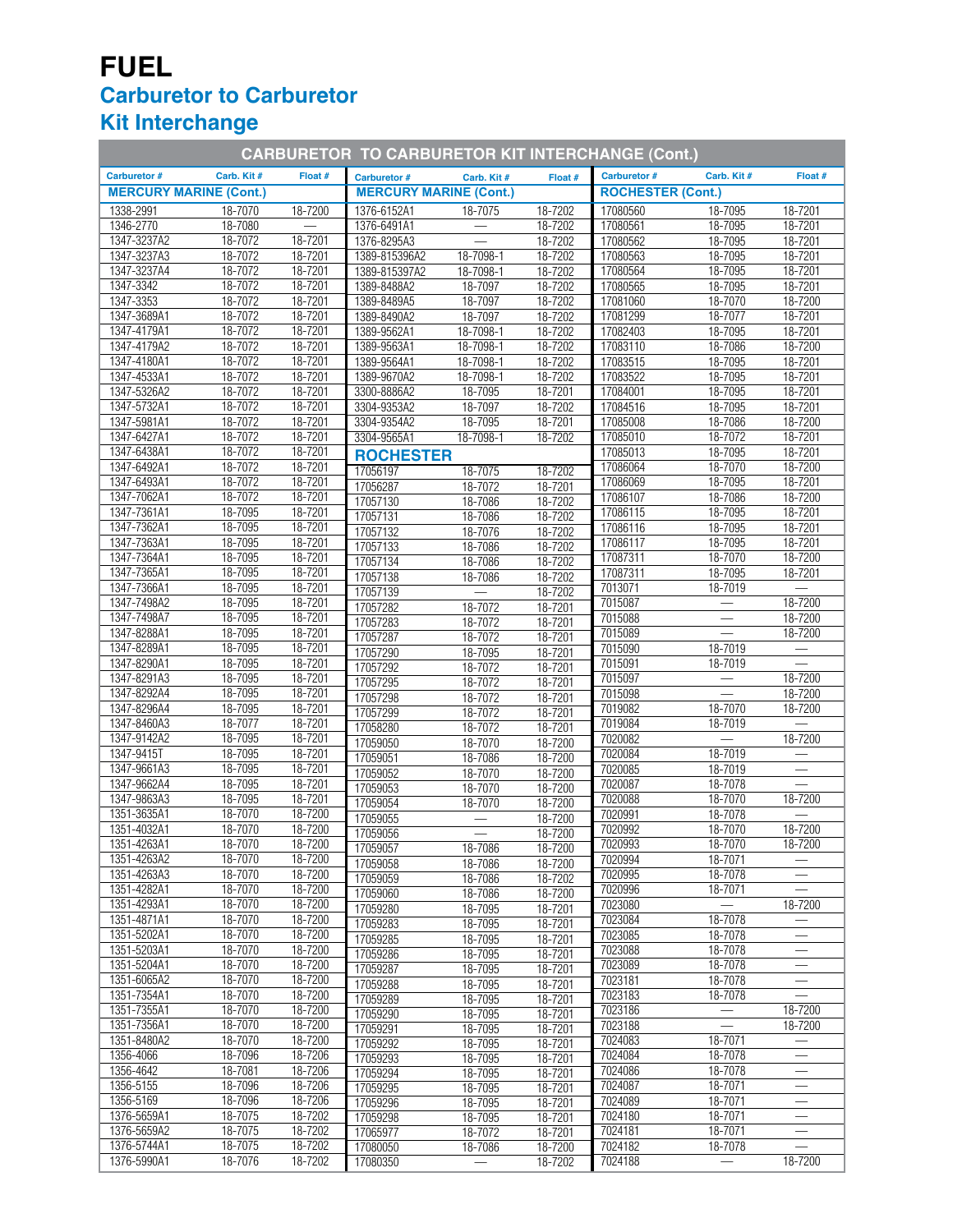# **FUEL Carburetor to Carburetor Kit Interchange**

| <b>CARBURETOR TO CARBURETOR KIT INTERCHANGE (Cont.)</b> |                    |                    |                               |                                           |                    |                          |                          |                          |
|---------------------------------------------------------|--------------------|--------------------|-------------------------------|-------------------------------------------|--------------------|--------------------------|--------------------------|--------------------------|
| <b>Carburetor #</b>                                     | Carb. Kit #        | Float #            | Carburetor #                  | Carb. Kit#                                | Float #            | <b>Carburetor #</b>      | Carb. Kit#               | Float #                  |
| <b>MERCURY MARINE (Cont.)</b>                           |                    |                    | <b>MERCURY MARINE (Cont.)</b> |                                           |                    | <b>ROCHESTER (Cont.)</b> |                          |                          |
| 1338-2991                                               | 18-7070            | 18-7200            | 1376-6152A1                   | 18-7075                                   | 18-7202            | 17080560                 | 18-7095                  | 18-7201                  |
| 1346-2770                                               | 18-7080            |                    | 1376-6491A1                   |                                           | 18-7202            | 17080561                 | 18-7095                  | 18-7201                  |
| 1347-3237A2                                             | 18-7072            | 18-7201            | 1376-8295A3                   |                                           | 18-7202            | 17080562                 | 18-7095                  | $18 - 7201$              |
| 1347-3237A3                                             | 18-7072            | 18-7201            | 1389-815396A2                 | 18-7098-1                                 | 18-7202            | 17080563                 | 18-7095                  | 18-7201                  |
| 1347-3237A4                                             | 18-7072            | 18-7201            | 1389-815397A2                 | 18-7098-1                                 | 18-7202            | 17080564                 | 18-7095                  | 18-7201                  |
| 1347-3342                                               | 18-7072            | 18-7201            | 1389-8488A2                   | 18-7097                                   | 18-7202            | 17080565                 | 18-7095                  | 18-7201                  |
| 1347-3353                                               | 18-7072            | 18-7201            | 1389-8489A5                   | 18-7097                                   | 18-7202            | 17081060                 | 18-7070                  | 18-7200                  |
| 1347-3689A1                                             | 18-7072            | 18-7201            | 1389-8490A2                   | 18-7097                                   | 18-7202            | 17081299                 | 18-7077                  | 18-7201                  |
| 1347-4179A1                                             | 18-7072            | 18-7201            | 1389-9562A1                   | 18-7098-1                                 | 18-7202            | 17082403                 | 18-7095                  | 18-7201                  |
| 1347-4179A2                                             | 18-7072            | 18-7201            | 1389-9563A1                   | $18 - 7098 - 1$                           | 18-7202            | 17083110                 | 18-7086                  | 18-7200                  |
| 1347-4180A1                                             | 18-7072            | 18-7201            | 1389-9564A1                   | 18-7098-1                                 | 18-7202            | 17083515                 | 18-7095                  | 18-7201                  |
| 1347-4533A1                                             | 18-7072            | 18-7201            | 1389-9670A2                   | 18-7098-1                                 | 18-7202            | 17083522                 | 18-7095                  | 18-7201                  |
| 1347-5326A2                                             | 18-7072            | 18-7201            | 3300-8886A2                   | 18-7095                                   | 18-7201            | 17084001                 | 18-7095                  | 18-7201                  |
| 1347-5732A1                                             | 18-7072            | 18-7201            | 3304-9353A2                   | 18-7097                                   | 18-7202            | 17084516                 | 18-7095                  | 18-7201                  |
| 1347-5981A1                                             | 18-7072            | 18-7201            | 3304-9354A2                   | 18-7095                                   | 18-7201            | 17085008                 | 18-7086                  | 18-7200                  |
| 1347-6427A1                                             | 18-7072            | 18-7201            | 3304-9565A1                   | 18-7098-1                                 | 18-7202            | 17085010                 | 18-7072                  | 18-7201                  |
| 1347-6438A1                                             | 18-7072            | 18-7201            | <b>ROCHESTER</b>              |                                           |                    | 17085013                 | 18-7095                  | 18-7201                  |
| 1347-6492A1                                             | 18-7072<br>18-7072 | 18-7201<br>18-7201 | 17056197                      | 18-7075                                   | 18-7202            | 17086064                 | 18-7070                  | 18-7200                  |
| 1347-6493A1<br>1347-7062A1                              | 18-7072            | 18-7201            | 17056287                      | 18-7072                                   | 18-7201            | 17086069                 | 18-7095                  | 18-7201                  |
| 1347-7361A1                                             | 18-7095            | 18-7201            | 17057130                      | 18-7086                                   | 18-7202            | 17086107<br>17086115     | 18-7086<br>18-7095       | 18-7200<br>18-7201       |
| 1347-7362A1                                             | 18-7095            | 18-7201            | 17057131                      | 18-7086                                   | 18-7202            | 17086116                 | 18-7095                  | 18-7201                  |
| 1347-7363A1                                             | 18-7095            | 18-7201            | 17057132                      | 18-7076                                   | 18-7202            | 17086117                 | 18-7095                  | 18-7201                  |
| 1347-7364A1                                             | 18-7095            | 18-7201            | 17057133                      | 18-7086                                   | 18-7202            | 17087311                 | 18-7070                  | 18-7200                  |
| 1347-7365A1                                             | 18-7095            | 18-7201            | 17057134                      | 18-7086                                   | 18-7202            | 17087311                 | 18-7095                  | 18-7201                  |
| 1347-7366A1                                             | 18-7095            | 18-7201            | 17057138                      | 18-7086                                   | 18-7202            | 7013071                  | 18-7019                  |                          |
| 1347-7498A2                                             | 18-7095            | 18-7201            | 17057139<br>17057282          | $\qquad \qquad \longleftarrow$<br>18-7072 | 18-7202<br>18-7201 | 7015087                  | $\overline{\phantom{0}}$ | $18 - 7200$              |
| 1347-7498A7                                             | 18-7095            | 18-7201            | 17057283                      | 18-7072                                   | 18-7201            | 7015088                  |                          | 18-7200                  |
| 1347-8288A1                                             | 18-7095            | 18-7201            | 17057287                      | 18-7072                                   | 18-7201            | 7015089                  |                          | 18-7200                  |
| 1347-8289A1                                             | 18-7095            | 18-7201            | 17057290                      | 18-7095                                   | 18-7201            | 7015090                  | 18-7019                  |                          |
| 1347-8290A1                                             | 18-7095            | 18-7201            | 17057292                      | 18-7072                                   | 18-7201            | 7015091                  | 18-7019                  |                          |
| 1347-8291A3                                             | 18-7095            | 18-7201            | 17057295                      | 18-7072                                   | 18-7201            | 7015097                  |                          | 18-7200                  |
| 1347-8292A4                                             | 18-7095            | 18-7201            | 17057298                      | 18-7072                                   | 18-7201            | 7015098                  |                          | 18-7200                  |
| 1347-8296A4                                             | 18-7095            | 18-7201            | 17057299                      | 18-7072                                   | 18-7201            | 7019082                  | 18-7070                  | 18-7200                  |
| 1347-8460A3                                             | 18-7077            | 18-7201            | 17058280                      | 18-7072                                   | 18-7201            | 7019084                  | 18-7019                  |                          |
| 1347-9142A2                                             | 18-7095            | 18-7201            | 17059050                      | 18-7070                                   | 18-7200            | 7020082                  | $\qquad \qquad$          | 18-7200                  |
| 1347-9415T                                              | 18-7095            | 18-7201            | 17059051                      | 18-7086                                   | 18-7200            | 7020084                  | 18-7019                  |                          |
| 1347-9661A3                                             | 18-7095            | 18-7201            | 17059052                      | 18-7070                                   | 18-7200            | 7020085                  | 18-7019                  |                          |
| 1347-9662A4                                             | 18-7095            | 18-7201            | 17059053                      | 18-7070                                   | 18-7200            | 7020087                  | 18-7078                  |                          |
| 1347-9863A3                                             | 18-7095<br>18-7070 | 18-7201<br>18-7200 | 17059054                      | 18-7070                                   | 18-7200            | 7020088                  | 18-7070                  | 18-7200                  |
| 1351-3635A1<br>1351-4032A1                              | 18-7070            | 18-7200            | 17059055                      |                                           | 18-7200            | 7020991<br>7020992       | 18-7078<br>18-7070       | 18-7200                  |
|                                                         |                    | 18-7200            | 17059056                      |                                           | 18-7200            |                          | 18-7070                  |                          |
| 1351-4263A1<br>1351-4263A2                              | 18-7070<br>18-7070 | 18-7200            | 17059057                      | 18-7086                                   | 18-7200            | 7020993<br>7020994       | 18-7071                  | 18-7200                  |
| 1351-4263A3                                             | 18-7070            | 18-7200            | 17059058                      | 18-7086                                   | 18-7200            | 7020995                  | 18-7078                  |                          |
| 1351-4282A1                                             | 18-7070            | 18-7200            | 17059059<br>17059060          | 18-7086<br>18-7086                        | 18-7202<br>18-7200 | 7020996                  | 18-7071                  |                          |
| 1351-4293A1                                             | 18-7070            | 18-7200            | 17059280                      | 18-7095                                   | 18-7201            | 7023080                  |                          | 18-7200                  |
| 1351-4871A1                                             | 18-7070            | 18-7200            | 17059283                      | 18-7095                                   | 18-7201            | 7023084                  | 18-7078                  |                          |
| 1351-5202A1                                             | 18-7070            | 18-7200            | 17059285                      | 18-7095                                   | 18-7201            | 7023085                  | 18-7078                  |                          |
| 1351-5203A1                                             | 18-7070            | 18-7200            | 17059286                      | 18-7095                                   | 18-7201            | 7023088                  | 18-7078                  |                          |
| 1351-5204A1                                             | 18-7070            | 18-7200            | 17059287                      | 18-7095                                   | 18-7201            | 7023089                  | 18-7078                  |                          |
| 1351-6065A2                                             | 18-7070            | 18-7200            | 17059288                      | 18-7095                                   | 18-7201            | 7023181                  | 18-7078                  |                          |
| 1351-7354A1                                             | 18-7070            | 18-7200            | 17059289                      | 18-7095                                   | 18-7201            | 7023183                  | 18-7078                  |                          |
| 1351-7355A1                                             | 18-7070            | 18-7200            | 17059290                      | 18-7095                                   | 18-7201            | 7023186                  |                          | 18-7200                  |
| 1351-7356A1                                             | 18-7070            | 18-7200            | 17059291                      | 18-7095                                   | 18-7201            | 7023188                  | $\equiv$                 | 18-7200                  |
| 1351-8480A2                                             | 18-7070            | 18-7200            | 17059292                      | 18-7095                                   | 18-7201            | 7024083                  | 18-7071                  |                          |
| 1356-4066                                               | 18-7096            | 18-7206            | 17059293                      | 18-7095                                   | 18-7201            | 7024084                  | 18-7078                  |                          |
| 1356-4642                                               | 18-7081            | 18-7206            | 17059294                      | 18-7095                                   | 18-7201            | 7024086                  | 18-7078                  | $\overline{\phantom{0}}$ |
| 1356-5155                                               | 18-7096            | 18-7206            | 17059295                      | 18-7095                                   | 18-7201            | 7024087                  | 18-7071                  |                          |
| 1356-5169<br>1376-5659A1                                | 18-7096<br>18-7075 | 18-7206            | 17059296                      | 18-7095                                   | 18-7201            | 7024089                  | 18-7071<br>18-7071       |                          |
| 1376-5659A2                                             | 18-7075            | 18-7202<br>18-7202 | 17059298                      | 18-7095                                   | 18-7201            | 7024180<br>7024181       | 18-7071                  | $\overline{\phantom{0}}$ |
| 1376-5744A1                                             | 18-7075            | 18-7202            | 17065977<br>17080050          | 18-7072<br>18-7086                        | 18-7201<br>18-7200 | 7024182                  | 18-7078                  |                          |
| 1376-5990A1                                             | 18-7076            | 18-7202            | 17080350                      |                                           | 18-7202            | 7024188                  |                          | 18-7200                  |
|                                                         |                    |                    |                               |                                           |                    |                          |                          |                          |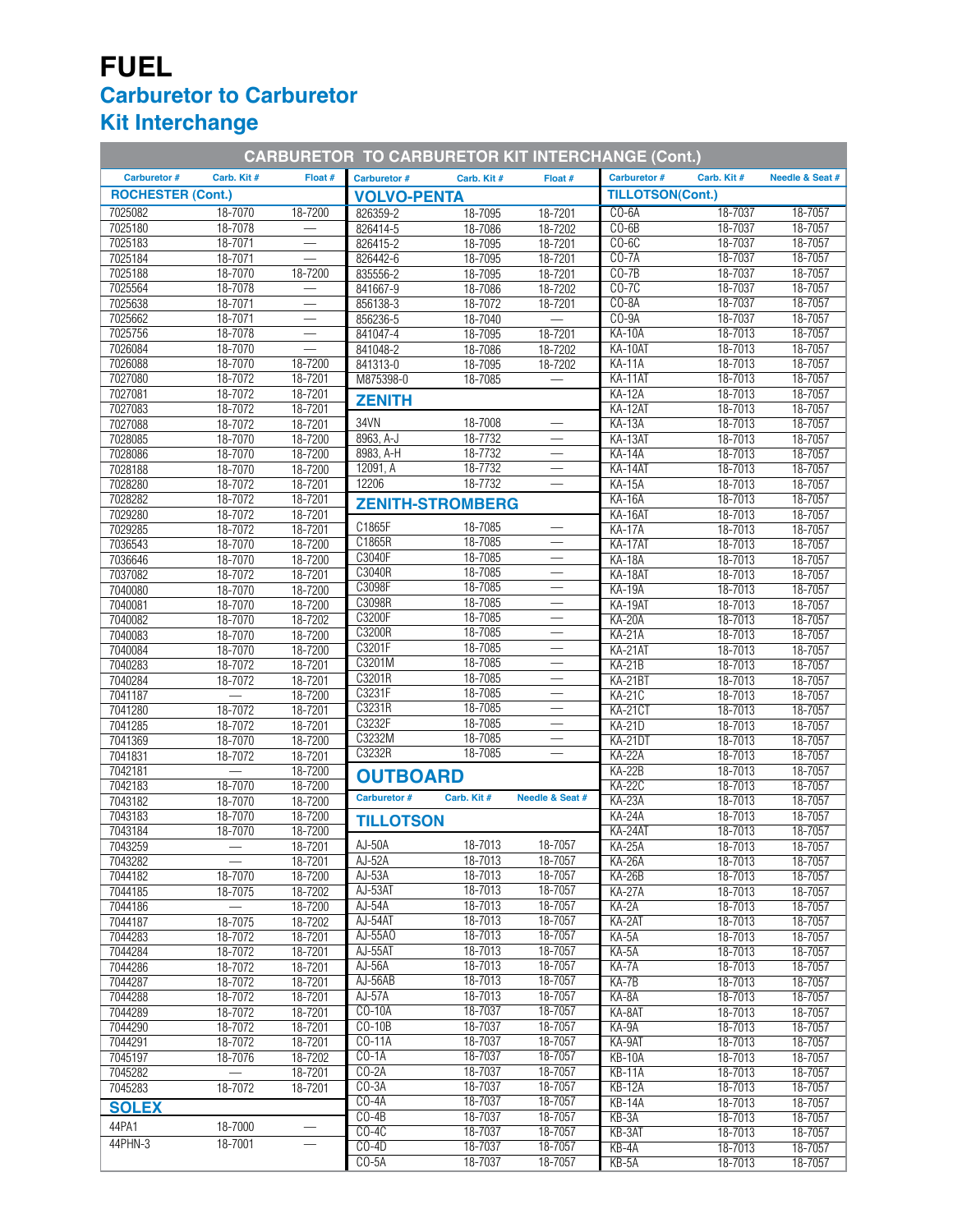## **FUEL Carburetor to Carburetor Kit Interchange**

| <b>CARBURETOR TO CARBURETOR KIT INTERCHANGE (Cont.)</b> |                    |                    |                      |                         |                          |                           |                    |                    |  |
|---------------------------------------------------------|--------------------|--------------------|----------------------|-------------------------|--------------------------|---------------------------|--------------------|--------------------|--|
| <b>Carburetor #</b>                                     | Carb. Kit#         | Float #            | <b>Carburetor #</b>  | Carb. Kit#              | Float #                  | <b>Carburetor #</b>       | Carb. Kit#         | Needle & Seat #    |  |
| <b>ROCHESTER (Cont.)</b>                                |                    |                    | <b>VOLVO-PENTA</b>   |                         |                          | <b>TILLOTSON(Cont.)</b>   |                    |                    |  |
| 7025082                                                 | 18-7070            | 18-7200            | 826359-2             | 18-7095                 | 18-7201                  | $CO-6A$                   | 18-7037            | 18-7057            |  |
| 7025180                                                 | 18-7078            |                    | 826414-5             | 18-7086                 | 18-7202                  | $CO-6B$                   | 18-7037            | 18-7057            |  |
| 7025183                                                 | 18-7071<br>18-7071 | $\equiv$           | 826415-2             | 18-7095                 | 18-7201                  | $CO-6C$<br>$CO-7A$        | 18-7037<br>18-7037 | 18-7057<br>18-7057 |  |
| 7025184<br>7025188                                      | 18-7070            | 18-7200            | 826442-6<br>835556-2 | 18-7095<br>18-7095      | 18-7201<br>18-7201       | $CO-7B$                   | 18-7037            | 18-7057            |  |
| 7025564                                                 | 18-7078            |                    | 841667-9             | 18-7086                 | 18-7202                  | $CO-7C$                   | 18-7037            | 18-7057            |  |
| 7025638                                                 | 18-7071            |                    | 856138-3             | 18-7072                 | 18-7201                  | $CO-8A$                   | 18-7037            | 18-7057            |  |
| 7025662                                                 | 18-7071            |                    | 856236-5             | 18-7040                 |                          | $CO-9A$                   | 18-7037            | 18-7057            |  |
| 7025756                                                 | 18-7078            |                    | 841047-4             | 18-7095                 | 18-7201                  | <b>KA-10A</b>             | 18-7013            | 18-7057            |  |
| 7026084                                                 | 18-7070            |                    | 841048-2             | 18-7086                 | 18-7202                  | KA-10AT                   | 18-7013            | 18-7057            |  |
| 7026088                                                 | 18-7070            | 18-7200            | 841313-0             | 18-7095                 | 18-7202                  | $KA-11A$<br>KA-11AT       | 18-7013<br>18-7013 | 18-7057<br>18-7057 |  |
| 7027080<br>7027081                                      | 18-7072<br>18-7072 | 18-7201<br>18-7201 | M875398-0            | 18-7085                 |                          | <b>KA-12A</b>             | 18-7013            | 18-7057            |  |
| 7027083                                                 | 18-7072            | 18-7201            | <b>ZENITH</b>        |                         |                          | KA-12AT                   | 18-7013            | 18-7057            |  |
| 7027088                                                 | 18-7072            | 18-7201            | 34VN                 | 18-7008                 |                          | $KA-13A$                  | 18-7013            | 18-7057            |  |
| 7028085                                                 | 18-7070            | 18-7200            | 8963, A-J            | 18-7732                 | $\qquad \qquad$          | KA-13AT                   | 18-7013            | 18-7057            |  |
| 7028086                                                 | 18-7070            | 18-7200            | 8983, A-H            | 18-7732                 |                          | <b>KA-14A</b>             | 18-7013            | 18-7057            |  |
| 7028188                                                 | 18-7070            | 18-7200            | 12091, A             | 18-7732                 |                          | KA-14AT                   | 18-7013            | 18-7057            |  |
| 7028280                                                 | 18-7072            | 18-7201            | 12206                | 18-7732                 |                          | $KA-15A$                  | 18-7013            | 18-7057            |  |
| 7028282<br>7029280                                      | 18-7072<br>18-7072 | 18-7201<br>18-7201 |                      | <b>ZENITH-STROMBERG</b> |                          | $KA-16A$<br>KA-16AT       | 18-7013<br>18-7013 | 18-7057<br>18-7057 |  |
| 7029285                                                 | 18-7072            | 18-7201            | C1865F               | 18-7085                 |                          | <b>KA-17A</b>             | 18-7013            | 18-7057            |  |
| 7036543                                                 | 18-7070            | 18-7200            | C1865R               | 18-7085                 |                          | KA-17AT                   | 18-7013            | 18-7057            |  |
| 7036646                                                 | 18-7070            | 18-7200            | C3040F               | 18-7085                 |                          | <b>KA-18A</b>             | 18-7013            | 18-7057            |  |
| 7037082                                                 | 18-7072            | 18-7201            | C3040R               | 18-7085                 |                          | KA-18AT                   | 18-7013            | 18-7057            |  |
| 7040080                                                 | 18-7070            | 18-7200            | C3098F               | 18-7085                 |                          | <b>KA-19A</b>             | 18-7013            | 18-7057            |  |
| 7040081                                                 | 18-7070            | 18-7200            | C3098R<br>C3200F     | 18-7085<br>18-7085      |                          | KA-19AT                   | 18-7013            | 18-7057            |  |
| 7040082                                                 | 18-7070            | 18-7202            | C3200R               | 18-7085                 | $\overline{\phantom{0}}$ | <b>KA-20A</b>             | 18-7013            | 18-7057            |  |
| 7040083<br>7040084                                      | 18-7070<br>18-7070 | 18-7200<br>18-7200 | C3201F               | 18-7085                 |                          | <b>KA-21A</b><br>KA-21AT  | 18-7013<br>18-7013 | 18-7057<br>18-7057 |  |
| 7040283                                                 | 18-7072            | 18-7201            | C3201M               | 18-7085                 |                          | $KA-21B$                  | 18-7013            | 18-7057            |  |
| 7040284                                                 | 18-7072            | 18-7201            | C3201R               | 18-7085                 |                          | KA-21BT                   | 18-7013            | 18-7057            |  |
| 7041187                                                 |                    | 18-7200            | C3231F               | 18-7085                 |                          | <b>KA-21C</b>             | 18-7013            | 18-7057            |  |
| 7041280                                                 | 18-7072            | 18-7201            | C3231R               | 18-7085                 |                          | <b>KA-21CT</b>            | 18-7013            | 18-7057            |  |
| 7041285                                                 | 18-7072            | 18-7201            | C3232F               | 18-7085                 |                          | <b>KA-21D</b>             | 18-7013            | 18-7057            |  |
| 7041369                                                 | 18-7070            | 18-7200            | C3232M<br>C3232R     | 18-7085<br>18-7085      |                          | KA-21DT                   | 18-7013            | 18-7057            |  |
| 7041831                                                 | 18-7072            | 18-7201            |                      |                         |                          | <b>KA-22A</b><br>$KA-22B$ | 18-7013<br>18-7013 | 18-7057<br>18-7057 |  |
| 7042181<br>7042183                                      | 18-7070            | 18-7200<br>18-7200 | <b>OUTBOARD</b>      |                         |                          | <b>KA-22C</b>             | 18-7013            | 18-7057            |  |
| 7043182                                                 | 18-7070            | 18-7200            | Carburetor #         | Carb. Kit #             | Needle & Seat #          | <b>KA-23A</b>             | 18-7013            | 18-7057            |  |
| 7043183                                                 | 18-7070            | 18-7200            | <b>TILLOTSON</b>     |                         |                          | $KA-24A$                  | 18-7013            | 18-7057            |  |
| 7043184                                                 | 18-7070            | 18-7200            |                      |                         |                          | KA-24AT                   | 18-7013            | 18-7057            |  |
| 7043259                                                 |                    | 18-7201            | AJ-50A               | 18-7013                 | 18-7057                  | KA-25A                    | 18-7013            | 18-7057            |  |
| 7043282                                                 |                    | 18-7201            | AJ-52A               | 18-7013                 | 18-7057                  | <b>KA-26A</b>             | 18-7013            | 18-7057            |  |
| 7044182                                                 | 18-7070            | 18-7200            | AJ-53A               | 18-7013<br>18-7013      | 18-7057<br>18-7057       | <b>KA-26B</b>             | 18-7013            | 18-7057            |  |
| 7044185<br>7044186                                      | 18-7075            | 18-7202<br>18-7200 | AJ-53AT<br>AJ-54A    | 18-7013                 | 18-7057                  | <b>KA-27A</b><br>$KA-2A$  | 18-7013<br>18-7013 | 18-7057<br>18-7057 |  |
| 7044187                                                 | 18-7075            | 18-7202            | AJ-54AT              | 18-7013                 | 18-7057                  | KA-2AT                    | 18-7013            | 18-7057            |  |
| 7044283                                                 | 18-7072            | 18-7201            | AJ-55A0              | 18-7013                 | 18-7057                  | $KA-5A$                   | 18-7013            | 18-7057            |  |
| 7044284                                                 | 18-7072            | 18-7201            | AJ-55AT              | 18-7013                 | 18-7057                  | $KA-5A$                   | 18-7013            | 18-7057            |  |
| 7044286                                                 | 18-7072            | 18-7201            | AJ-56A               | 18-7013                 | 18-7057                  | KA-7A                     | 18-7013            | 18-7057            |  |
| 7044287                                                 | 18-7072            | 18-7201            | AJ-56AB              | 18-7013                 | 18-7057                  | KA-7B                     | 18-7013            | 18-7057            |  |
| 7044288                                                 | 18-7072            | 18-7201            | $AJ-57A$             | 18-7013                 | 18-7057                  | KA-8A                     | 18-7013            | 18-7057            |  |
| 7044289<br>7044290                                      | 18-7072            | 18-7201<br>18-7201 | CO-10A<br>$CO-10B$   | 18-7037<br>18-7037      | 18-7057<br>18-7057       | KA-8AT<br>$KA-9A$         | 18-7013            | 18-7057<br>18-7057 |  |
| 7044291                                                 | 18-7072<br>18-7072 | $18 - 7201$        | CO-11A               | 18-7037                 | 18-7057                  | KA-9AT                    | 18-7013<br>18-7013 | 18-7057            |  |
| 7045197                                                 | 18-7076            | 18-7202            | $CO-1A$              | 18-7037                 | 18-7057                  | <b>KB-10A</b>             | 18-7013            | 18-7057            |  |
| 7045282                                                 |                    | 18-7201            | $CO-2A$              | 18-7037                 | 18-7057                  | $KB-11A$                  | 18-7013            | 18-7057            |  |
| 7045283                                                 | 18-7072            | 18-7201            | $CO-3A$              | 18-7037                 | 18-7057                  | <b>KB-12A</b>             | 18-7013            | 18-7057            |  |
| <b>SOLEX</b>                                            |                    |                    | $CO-4A$              | 18-7037                 | 18-7057                  | $KB-14A$                  | 18-7013            | 18-7057            |  |
| 44PA1                                                   | 18-7000            |                    | $CO-4B$              | 18-7037                 | 18-7057                  | KB-3A                     | 18-7013            | 18-7057            |  |
| 44PHN-3                                                 | 18-7001            |                    | $CO-4C$<br>$CO-4D$   | 18-7037<br>18-7037      | 18-7057<br>18-7057       | KB-3AT                    | 18-7013            | 18-7057            |  |
|                                                         |                    |                    | $CO-5A$              | 18-7037                 | 18-7057                  | $KB-4A$<br>$KB-5A$        | 18-7013<br>18-7013 | 18-7057<br>18-7057 |  |
|                                                         |                    |                    |                      |                         |                          |                           |                    |                    |  |